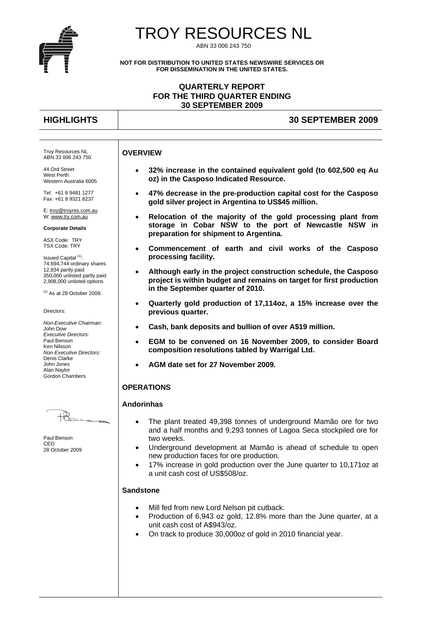

# TROY RESOURCES NL

ABN 33 006 243 750

**NOT FOR DISTRIBUTION TO UNITED STATES NEWSWIRE SERVICES OR FOR DISSEMINATION IN THE UNITED STATES.** 

# **QUARTERLY REPORT FOR THE THIRD QUARTER ENDING 30 SEPTEMBER 2009**

# **HIGHLIGHTS 30 SEPTEMBER 2009**

#### **OVERVIEW**

 **32% increase in the contained equivalent gold (to 602,500 eq Au oz) in the Casposo Indicated Resource.** 

- **47% decrease in the pre-production capital cost for the Casposo gold silver project in Argentina to US\$45 million.**
- **Relocation of the majority of the gold processing plant from storage in Cobar NSW to the port of Newcastle NSW in preparation for shipment to Argentina.**
- **Commencement of earth and civil works of the Casposo processing facility.**
- **Although early in the project construction schedule, the Casposo project is within budget and remains on target for first production in the September quarter of 2010.**
- **Quarterly gold production of 17,114oz, a 15% increase over the previous quarter.**
- **Cash, bank deposits and bullion of over A\$19 million.**
- **EGM to be convened on 16 November 2009, to consider Board composition resolutions tabled by Warrigal Ltd.**
- **AGM date set for 27 November 2009.**

#### **OPERATIONS**

#### **Andorinhas**

- The plant treated 49,398 tonnes of underground Mamão ore for two and a half months and 9,293 tonnes of Lagoa Seca stockpiled ore for two weeks.
- Underground development at Mamão is ahead of schedule to open new production faces for ore production.
- 17% increase in gold production over the June quarter to 10,171oz at a unit cash cost of US\$508/oz.

#### **Sandstone**

- Mill fed from new Lord Nelson pit cutback.
- Production of 6,943 oz gold, 12.8% more than the June quarter, at a unit cash cost of A\$943/oz.
- On track to produce 30,000oz of gold in 2010 financial year.

Troy Resources NL ABN 33 006 243 750

44 Ord Street West Perth Western Australia 6005

Tel: +61 8 9481 1277 Fax: +61 8 9321 8237

E: troy@troyres.com.au W: www.try.com.au

**Corporate Details** 

ASX Code: TRY TSX Code: TRY

Issued Capital<sup>(1)</sup>: 74,694,744 ordinary shares 12,834 partly paid 350,000 unlisted partly paid 2,908,000 unlisted options

 $(1)$  As at 28 October 2009.

Directors:

*Non-Executive Chairman:*  John Dow *Executive Directors:*  Paul Benson Ken Nilsson *Non-Executive Directors:*  Denis Clarke John Jones Alan Naylor Gordon Chambers

Paul Benson CEO 28 October 2009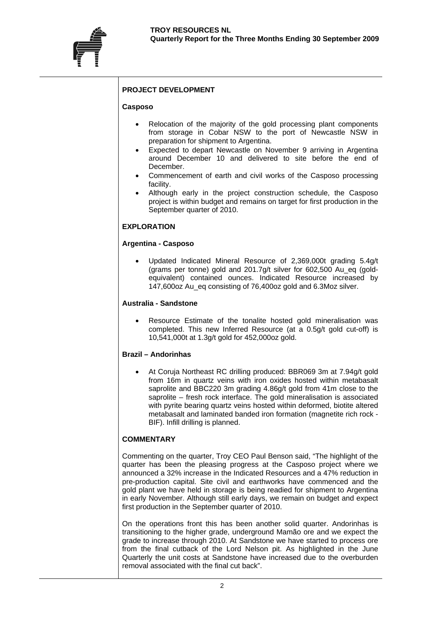# **PROJECT DEVELOPMENT**

## **Casposo**

- Relocation of the majority of the gold processing plant components from storage in Cobar NSW to the port of Newcastle NSW in preparation for shipment to Argentina.
- Expected to depart Newcastle on November 9 arriving in Argentina around December 10 and delivered to site before the end of December.
- Commencement of earth and civil works of the Casposo processing facility.
- Although early in the project construction schedule, the Casposo project is within budget and remains on target for first production in the September quarter of 2010.

# **EXPLORATION**

#### **Argentina - Casposo**

 Updated Indicated Mineral Resource of 2,369,000t grading 5.4g/t (grams per tonne) gold and  $201.7$ g/t silver for  $602.500$  Au eq (goldequivalent) contained ounces. Indicated Resource increased by 147,600oz Au\_eq consisting of 76,400oz gold and 6.3Moz silver.

# **Australia - Sandstone**

 Resource Estimate of the tonalite hosted gold mineralisation was completed. This new Inferred Resource (at a 0.5g/t gold cut-off) is 10,541,000t at 1.3g/t gold for 452,000oz gold.

#### **Brazil – Andorinhas**

 At Coruja Northeast RC drilling produced: BBR069 3m at 7.94g/t gold from 16m in quartz veins with iron oxides hosted within metabasalt saprolite and BBC220 3m grading 4.86g/t gold from 41m close to the saprolite – fresh rock interface. The gold mineralisation is associated with pyrite bearing quartz veins hosted within deformed, biotite altered metabasalt and laminated banded iron formation (magnetite rich rock - BIF). Infill drilling is planned.

#### **COMMENTARY**

Commenting on the quarter, Troy CEO Paul Benson said, "The highlight of the quarter has been the pleasing progress at the Casposo project where we announced a 32% increase in the Indicated Resources and a 47% reduction in pre-production capital. Site civil and earthworks have commenced and the gold plant we have held in storage is being readied for shipment to Argentina in early November. Although still early days, we remain on budget and expect first production in the September quarter of 2010.

On the operations front this has been another solid quarter. Andorinhas is transitioning to the higher grade, underground Mamão ore and we expect the grade to increase through 2010. At Sandstone we have started to process ore from the final cutback of the Lord Nelson pit. As highlighted in the June Quarterly the unit costs at Sandstone have increased due to the overburden removal associated with the final cut back".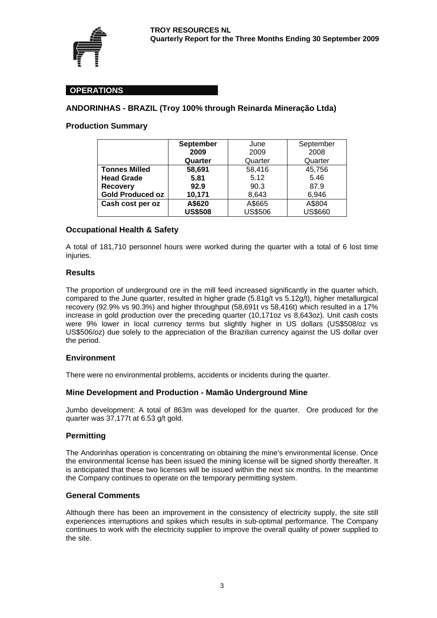

# **OPERATIONS**

# **ANDORINHAS - BRAZIL (Troy 100% through Reinarda Mineração Ltda)**

# **Production Summary**

|                         | <b>September</b> | June           | September      |  |
|-------------------------|------------------|----------------|----------------|--|
|                         | 2009             | 2009           | 2008           |  |
|                         | Quarter          | Quarter        | Quarter        |  |
| <b>Tonnes Milled</b>    | 58,691           | 58,416         | 45,756         |  |
| <b>Head Grade</b>       | 5.81             | 5.12           | 5.46           |  |
| <b>Recovery</b>         | 92.9             | 90.3           | 87.9           |  |
| <b>Gold Produced oz</b> | 10,171           | 8,643          | 6,946          |  |
| Cash cost per oz        | A\$620           | A\$665         | A\$804         |  |
|                         | <b>US\$508</b>   | <b>US\$506</b> | <b>US\$660</b> |  |

# **Occupational Health & Safety**

A total of 181,710 personnel hours were worked during the quarter with a total of 6 lost time injuries.

# **Results**

The proportion of underground ore in the mill feed increased significantly in the quarter which, compared to the June quarter, resulted in higher grade (5.81g/t vs 5.12g/t), higher metallurgical recovery (92.9% vs 90.3%) and higher throughput (58,691t vs 58,416t) which resulted in a 17% increase in gold production over the preceding quarter (10,171oz vs 8,643oz). Unit cash costs were 9% lower in local currency terms but slightly higher in US dollars (US\$508/oz vs US\$506/oz) due solely to the appreciation of the Brazilian currency against the US dollar over the period.

#### **Environment**

There were no environmental problems, accidents or incidents during the quarter.

# **Mine Development and Production - Mamão Underground Mine**

Jumbo development: A total of 863m was developed for the quarter. Ore produced for the quarter was 37,177t at 6.53 g/t gold.

#### **Permitting**

The Andorinhas operation is concentrating on obtaining the mine's environmental license. Once the environmental license has been issued the mining license will be signed shortly thereafter. It is anticipated that these two licenses will be issued within the next six months. In the meantime the Company continues to operate on the temporary permitting system.

## **General Comments**

Although there has been an improvement in the consistency of electricity supply, the site still experiences interruptions and spikes which results in sub-optimal performance. The Company continues to work with the electricity supplier to improve the overall quality of power supplied to the site.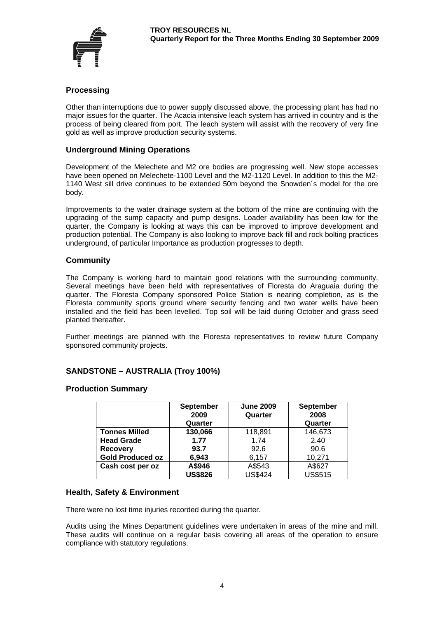

# **Processing**

Other than interruptions due to power supply discussed above, the processing plant has had no major issues for the quarter. The Acacia intensive leach system has arrived in country and is the process of being cleared from port. The leach system will assist with the recovery of very fine gold as well as improve production security systems.

## **Underground Mining Operations**

Development of the Melechete and M2 ore bodies are progressing well. New stope accesses have been opened on Melechete-1100 Level and the M2-1120 Level. In addition to this the M2- 1140 West sill drive continues to be extended 50m beyond the Snowden´s model for the ore body.

Improvements to the water drainage system at the bottom of the mine are continuing with the upgrading of the sump capacity and pump designs. Loader availability has been low for the quarter, the Company is looking at ways this can be improved to improve development and production potential. The Company is also looking to improve back fill and rock bolting practices underground, of particular Importance as production progresses to depth.

#### **Community**

The Company is working hard to maintain good relations with the surrounding community. Several meetings have been held with representatives of Floresta do Araguaia during the quarter. The Floresta Company sponsored Police Station is nearing completion, as is the Floresta community sports ground where security fencing and two water wells have been installed and the field has been levelled. Top soil will be laid during October and grass seed planted thereafter.

Further meetings are planned with the Floresta representatives to review future Company sponsored community projects.

# **SANDSTONE – AUSTRALIA (Troy 100%)**

#### **Production Summary**

|                         | <b>September</b><br>2009<br>Quarter | <b>June 2009</b><br>Quarter | <b>September</b><br>2008<br>Quarter |
|-------------------------|-------------------------------------|-----------------------------|-------------------------------------|
| <b>Tonnes Milled</b>    | 130,066                             | 118,891                     | 146,673                             |
| <b>Head Grade</b>       | 1.77                                | 1.74                        | 2.40                                |
| <b>Recovery</b>         | 93.7                                | 92.6                        | 90.6                                |
| <b>Gold Produced oz</b> | 6,943                               | 6,157                       | 10,271                              |
| Cash cost per oz        | A\$946                              | A\$543                      | A\$627                              |
|                         | <b>US\$826</b>                      | <b>US\$424</b>              | <b>US\$515</b>                      |

#### **Health, Safety & Environment**

There were no lost time injuries recorded during the quarter.

Audits using the Mines Department guidelines were undertaken in areas of the mine and mill. These audits will continue on a regular basis covering all areas of the operation to ensure compliance with statutory regulations.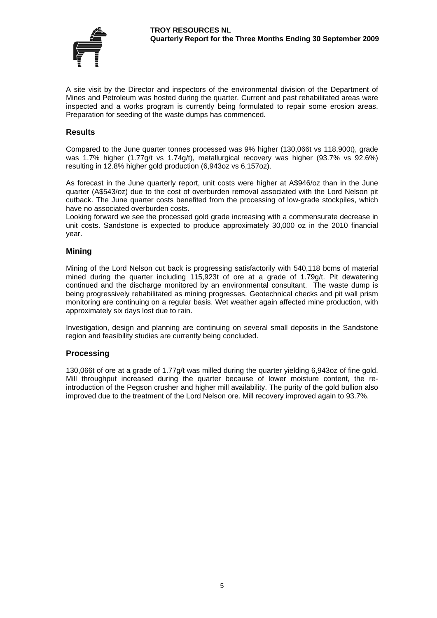

A site visit by the Director and inspectors of the environmental division of the Department of Mines and Petroleum was hosted during the quarter. Current and past rehabilitated areas were inspected and a works program is currently being formulated to repair some erosion areas. Preparation for seeding of the waste dumps has commenced.

#### **Results**

Compared to the June quarter tonnes processed was 9% higher (130,066t vs 118,900t), grade was 1.7% higher (1.77g/t vs 1.74g/t), metallurgical recovery was higher (93.7% vs 92.6%) resulting in 12.8% higher gold production (6,943oz vs 6,157oz).

As forecast in the June quarterly report, unit costs were higher at A\$946/oz than in the June quarter (A\$543/oz) due to the cost of overburden removal associated with the Lord Nelson pit cutback. The June quarter costs benefited from the processing of low-grade stockpiles, which have no associated overburden costs.

Looking forward we see the processed gold grade increasing with a commensurate decrease in unit costs. Sandstone is expected to produce approximately 30,000 oz in the 2010 financial year.

#### **Mining**

Mining of the Lord Nelson cut back is progressing satisfactorily with 540,118 bcms of material mined during the quarter including 115,923t of ore at a grade of 1.79g/t. Pit dewatering continued and the discharge monitored by an environmental consultant. The waste dump is being progressively rehabilitated as mining progresses. Geotechnical checks and pit wall prism monitoring are continuing on a regular basis. Wet weather again affected mine production, with approximately six days lost due to rain.

Investigation, design and planning are continuing on several small deposits in the Sandstone region and feasibility studies are currently being concluded.

#### **Processing**

130,066t of ore at a grade of 1.77g/t was milled during the quarter yielding 6,943oz of fine gold. Mill throughput increased during the quarter because of lower moisture content, the reintroduction of the Pegson crusher and higher mill availability. The purity of the gold bullion also improved due to the treatment of the Lord Nelson ore. Mill recovery improved again to 93.7%.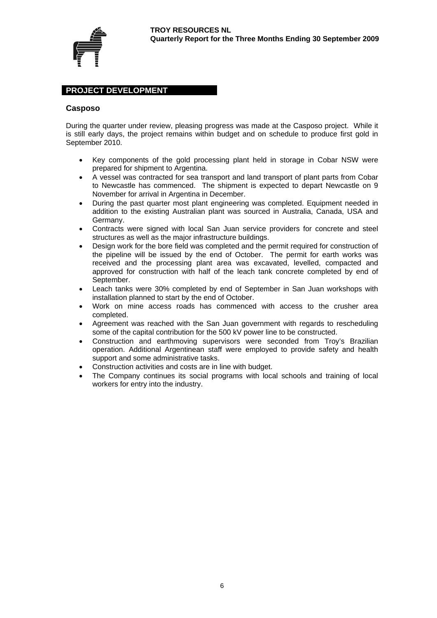

# **PROJECT DEVELOPMENT**

#### **Casposo**

During the quarter under review, pleasing progress was made at the Casposo project. While it is still early days, the project remains within budget and on schedule to produce first gold in September 2010.

- Key components of the gold processing plant held in storage in Cobar NSW were prepared for shipment to Argentina.
- A vessel was contracted for sea transport and land transport of plant parts from Cobar to Newcastle has commenced. The shipment is expected to depart Newcastle on 9 November for arrival in Argentina in December.
- During the past quarter most plant engineering was completed. Equipment needed in addition to the existing Australian plant was sourced in Australia, Canada, USA and Germany.
- Contracts were signed with local San Juan service providers for concrete and steel structures as well as the major infrastructure buildings.
- Design work for the bore field was completed and the permit required for construction of the pipeline will be issued by the end of October. The permit for earth works was received and the processing plant area was excavated, levelled, compacted and approved for construction with half of the leach tank concrete completed by end of September.
- Leach tanks were 30% completed by end of September in San Juan workshops with installation planned to start by the end of October.
- Work on mine access roads has commenced with access to the crusher area completed.
- Agreement was reached with the San Juan government with regards to rescheduling some of the capital contribution for the 500 kV power line to be constructed.
- Construction and earthmoving supervisors were seconded from Troy's Brazilian operation. Additional Argentinean staff were employed to provide safety and health support and some administrative tasks.
- Construction activities and costs are in line with budget.
- The Company continues its social programs with local schools and training of local workers for entry into the industry.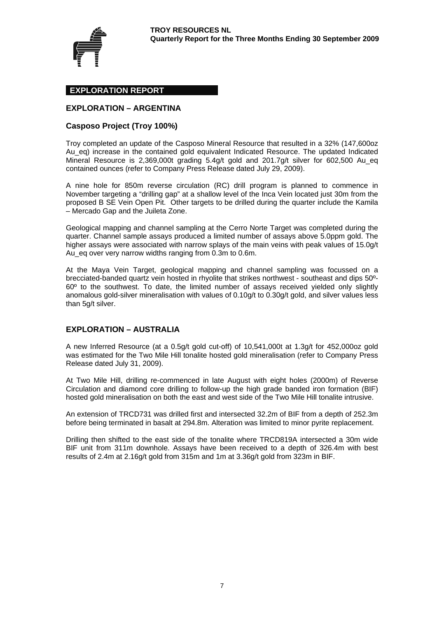

# **EXPLORATION REPORT**

# **EXPLORATION – ARGENTINA**

#### **Casposo Project (Troy 100%)**

Troy completed an update of the Casposo Mineral Resource that resulted in a 32% (147,600oz Au\_eq) increase in the contained gold equivalent Indicated Resource. The updated Indicated Mineral Resource is 2,369,000t grading 5.4g/t gold and 201.7g/t silver for 602,500 Au eq contained ounces (refer to Company Press Release dated July 29, 2009).

A nine hole for 850m reverse circulation (RC) drill program is planned to commence in November targeting a "drilling gap" at a shallow level of the Inca Vein located just 30m from the proposed B SE Vein Open Pit. Other targets to be drilled during the quarter include the Kamila – Mercado Gap and the Juileta Zone.

Geological mapping and channel sampling at the Cerro Norte Target was completed during the quarter. Channel sample assays produced a limited number of assays above 5.0ppm gold. The higher assays were associated with narrow splays of the main veins with peak values of 15.0g/t Au\_eq over very narrow widths ranging from 0.3m to 0.6m.

At the Maya Vein Target, geological mapping and channel sampling was focussed on a brecciated-banded quartz vein hosted in rhyolite that strikes northwest - southeast and dips 50º-60º to the southwest. To date, the limited number of assays received yielded only slightly anomalous gold-silver mineralisation with values of 0.10g/t to 0.30g/t gold, and silver values less than 5g/t silver.

#### **EXPLORATION – AUSTRALIA**

A new Inferred Resource (at a 0.5g/t gold cut-off) of 10,541,000t at 1.3g/t for 452,000oz gold was estimated for the Two Mile Hill tonalite hosted gold mineralisation (refer to Company Press Release dated July 31, 2009).

At Two Mile Hill, drilling re-commenced in late August with eight holes (2000m) of Reverse Circulation and diamond core drilling to follow-up the high grade banded iron formation (BIF) hosted gold mineralisation on both the east and west side of the Two Mile Hill tonalite intrusive.

An extension of TRCD731 was drilled first and intersected 32.2m of BIF from a depth of 252.3m before being terminated in basalt at 294.8m. Alteration was limited to minor pyrite replacement.

Drilling then shifted to the east side of the tonalite where TRCD819A intersected a 30m wide BIF unit from 311m downhole. Assays have been received to a depth of 326.4m with best results of 2.4m at 2.16g/t gold from 315m and 1m at 3.36g/t gold from 323m in BIF.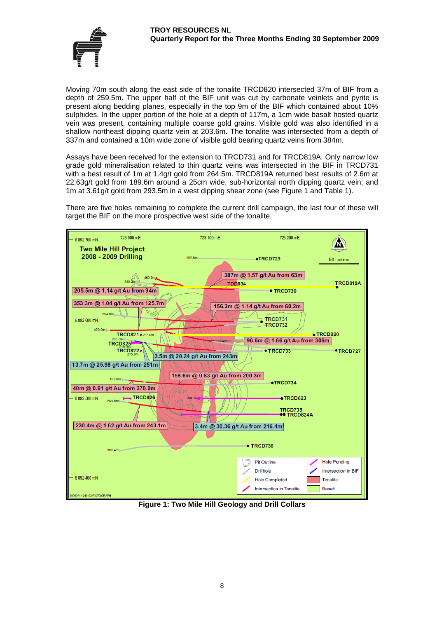

Moving 70m south along the east side of the tonalite TRCD820 intersected 37m of BIF from a depth of 259.5m. The upper half of the BIF unit was cut by carbonate veinlets and pyrite is present along bedding planes, especially in the top 9m of the BIF which contained about 10% sulphides. In the upper portion of the hole at a depth of 117m, a 1cm wide basalt hosted quartz vein was present, containing multiple coarse gold grains. Visible gold was also identified in a shallow northeast dipping quartz vein at 203.6m. The tonalite was intersected from a depth of 337m and contained a 10m wide zone of visible gold bearing quartz veins from 384m.

Assays have been received for the extension to TRCD731 and for TRCD819A. Only narrow low grade gold mineralisation related to thin quartz veins was intersected in the BIF in TRCD731 with a best result of 1m at 1.4g/t gold from 264.5m. TRCD819A returned best results of 2.6m at 22.63g/t gold from 189.6m around a 25cm wide, sub-horizontal north dipping quartz vein; and 1m at 3.61g/t gold from 293.5m in a west dipping shear zone (see Figure 1 and Table 1).

There are five holes remaining to complete the current drill campaign, the last four of these will target the BIF on the more prospective west side of the tonalite.



**Figure 1: Two Mile Hill Geology and Drill Collars**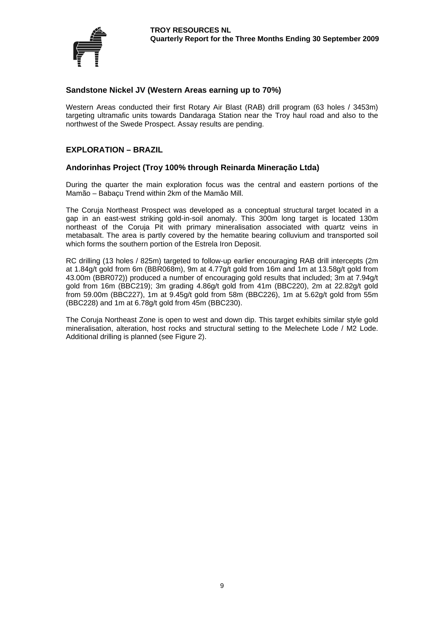

# **Sandstone Nickel JV (Western Areas earning up to 70%)**

Western Areas conducted their first Rotary Air Blast (RAB) drill program (63 holes / 3453m) targeting ultramafic units towards Dandaraga Station near the Troy haul road and also to the northwest of the Swede Prospect. Assay results are pending.

# **EXPLORATION – BRAZIL**

#### **Andorinhas Project (Troy 100% through Reinarda Mineração Ltda)**

During the quarter the main exploration focus was the central and eastern portions of the Mamão – Babaçu Trend within 2km of the Mamão Mill.

The Coruja Northeast Prospect was developed as a conceptual structural target located in a gap in an east-west striking gold-in-soil anomaly. This 300m long target is located 130m northeast of the Coruja Pit with primary mineralisation associated with quartz veins in metabasalt. The area is partly covered by the hematite bearing colluvium and transported soil which forms the southern portion of the Estrela Iron Deposit.

RC drilling (13 holes / 825m) targeted to follow-up earlier encouraging RAB drill intercepts (2m at 1.84g/t gold from 6m (BBR068m), 9m at 4.77g/t gold from 16m and 1m at 13.58g/t gold from 43.00m (BBR072)) produced a number of encouraging gold results that included; 3m at 7.94g/t gold from 16m (BBC219); 3m grading 4.86g/t gold from 41m (BBC220), 2m at 22.82g/t gold from 59.00m (BBC227), 1m at 9.45g/t gold from 58m (BBC226), 1m at 5.62g/t gold from 55m (BBC228) and 1m at 6.78g/t gold from 45m (BBC230).

The Coruja Northeast Zone is open to west and down dip. This target exhibits similar style gold mineralisation, alteration, host rocks and structural setting to the Melechete Lode / M2 Lode. Additional drilling is planned (see Figure 2).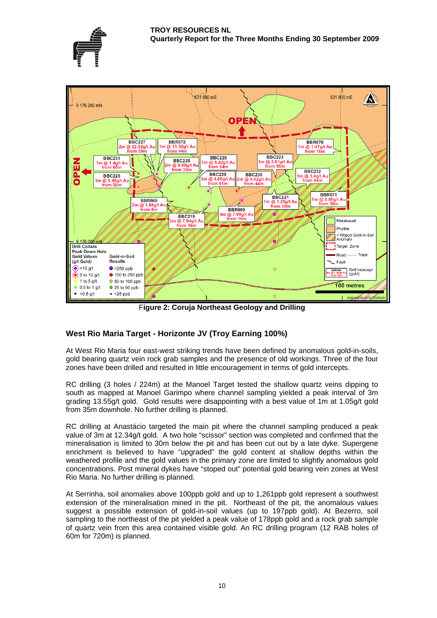



F**igure 2: Coruja Northeast Geology and Drilling** 

# **West Rio Maria Target - Horizonte JV (Troy Earning 100%)**

At West Rio Maria four east-west striking trends have been defined by anomalous gold-in-soils, gold bearing quartz vein rock grab samples and the presence of old workings. Three of the four zones have been drilled and resulted in little encouragement in terms of gold intercepts.

RC drilling (3 holes / 224m) at the Manoel Target tested the shallow quartz veins dipping to south as mapped at Manoel Garimpo where channel sampling yielded a peak interval of 3m grading 13.55g/t gold. Gold results were disappointing with a best value of 1m at 1.05g/t gold from 35m downhole. No further drilling is planned.

RC drilling at Anastácio targeted the main pit where the channel sampling produced a peak value of 3m at 12.34g/t gold. A two hole "scissor" section was completed and confirmed that the mineralisation is limited to 30m below the pit and has been cut out by a late dyke. Supergene enrichment is believed to have "upgraded" the gold content at shallow depths within the weathered profile and the gold values in the primary zone are limited to slightly anomalous gold concentrations. Post mineral dykes have "stoped out" potential gold bearing vein zones at West Rio Maria. No further drilling is planned.

At Serrinha, soil anomalies above 100ppb gold and up to 1,261ppb gold represent a southwest extension of the mineralisation mined in the pit. Northeast of the pit, the anomalous values suggest a possible extension of gold-in-soil values (up to 197ppb gold). At Bezerro, soil sampling to the northeast of the pit yielded a peak value of 178ppb gold and a rock grab sample of quartz vein from this area contained visible gold. An RC drilling program (12 RAB holes of 60m for 720m) is planned.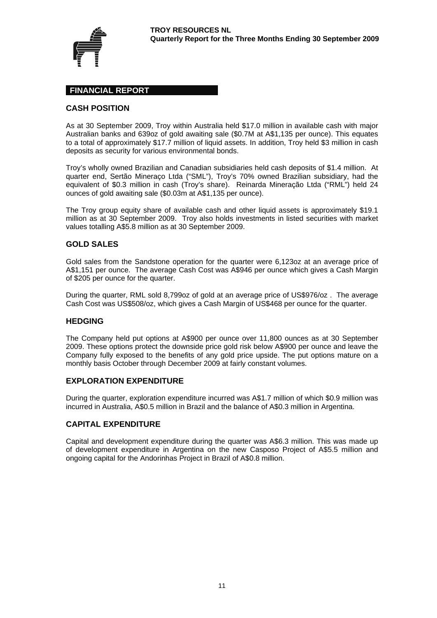

# **FINANCIAL REPORT**

### **CASH POSITION**

As at 30 September 2009, Troy within Australia held \$17.0 million in available cash with major Australian banks and 639oz of gold awaiting sale (\$0.7M at A\$1,135 per ounce). This equates to a total of approximately \$17.7 million of liquid assets. In addition, Troy held \$3 million in cash deposits as security for various environmental bonds.

Troy's wholly owned Brazilian and Canadian subsidiaries held cash deposits of \$1.4 million. At quarter end, Sertão Mineraço Ltda ("SML"), Troy's 70% owned Brazilian subsidiary, had the equivalent of \$0.3 million in cash (Troy's share). Reinarda Mineração Ltda ("RML") held 24 ounces of gold awaiting sale (\$0.03m at A\$1,135 per ounce).

The Troy group equity share of available cash and other liquid assets is approximately \$19.1 million as at 30 September 2009. Troy also holds investments in listed securities with market values totalling A\$5.8 million as at 30 September 2009.

# **GOLD SALES**

Gold sales from the Sandstone operation for the quarter were 6,123oz at an average price of A\$1,151 per ounce. The average Cash Cost was A\$946 per ounce which gives a Cash Margin of \$205 per ounce for the quarter.

During the quarter, RML sold 8,799oz of gold at an average price of US\$976/oz . The average Cash Cost was US\$508/oz, which gives a Cash Margin of US\$468 per ounce for the quarter.

#### **HEDGING**

The Company held put options at A\$900 per ounce over 11,800 ounces as at 30 September 2009. These options protect the downside price gold risk below A\$900 per ounce and leave the Company fully exposed to the benefits of any gold price upside. The put options mature on a monthly basis October through December 2009 at fairly constant volumes.

#### **EXPLORATION EXPENDITURE**

During the quarter, exploration expenditure incurred was A\$1.7 million of which \$0.9 million was incurred in Australia, A\$0.5 million in Brazil and the balance of A\$0.3 million in Argentina.

# **CAPITAL EXPENDITURE**

Capital and development expenditure during the quarter was A\$6.3 million. This was made up of development expenditure in Argentina on the new Casposo Project of A\$5.5 million and ongoing capital for the Andorinhas Project in Brazil of A\$0.8 million.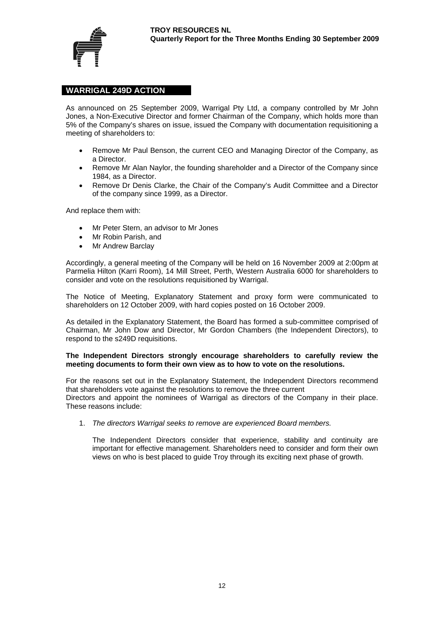

# **WARRIGAL 249D ACTION**

As announced on 25 September 2009, Warrigal Pty Ltd, a company controlled by Mr John Jones, a Non-Executive Director and former Chairman of the Company, which holds more than 5% of the Company's shares on issue, issued the Company with documentation requisitioning a meeting of shareholders to:

- Remove Mr Paul Benson, the current CEO and Managing Director of the Company, as a Director.
- Remove Mr Alan Naylor, the founding shareholder and a Director of the Company since 1984, as a Director.
- Remove Dr Denis Clarke, the Chair of the Company's Audit Committee and a Director of the company since 1999, as a Director.

And replace them with:

- Mr Peter Stern, an advisor to Mr Jones
- Mr Robin Parish, and
- Mr Andrew Barclay

Accordingly, a general meeting of the Company will be held on 16 November 2009 at 2:00pm at Parmelia Hilton (Karri Room), 14 Mill Street, Perth, Western Australia 6000 for shareholders to consider and vote on the resolutions requisitioned by Warrigal.

The Notice of Meeting, Explanatory Statement and proxy form were communicated to shareholders on 12 October 2009, with hard copies posted on 16 October 2009.

As detailed in the Explanatory Statement, the Board has formed a sub-committee comprised of Chairman, Mr John Dow and Director, Mr Gordon Chambers (the Independent Directors), to respond to the s249D requisitions.

#### **The Independent Directors strongly encourage shareholders to carefully review the meeting documents to form their own view as to how to vote on the resolutions.**

For the reasons set out in the Explanatory Statement, the Independent Directors recommend that shareholders vote against the resolutions to remove the three current Directors and appoint the nominees of Warrigal as directors of the Company in their place. These reasons include:

1. *The directors Warrigal seeks to remove are experienced Board members.* 

The Independent Directors consider that experience, stability and continuity are important for effective management. Shareholders need to consider and form their own views on who is best placed to guide Troy through its exciting next phase of growth.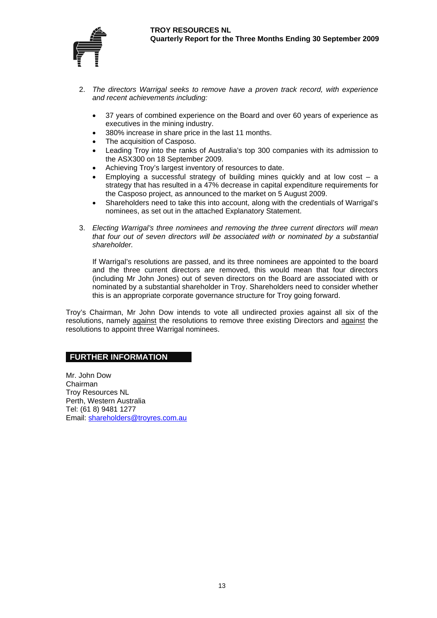

- 2. *The directors Warrigal seeks to remove have a proven track record, with experience and recent achievements including:*
	- 37 years of combined experience on the Board and over 60 years of experience as executives in the mining industry.
	- 380% increase in share price in the last 11 months.
	- The acquisition of Casposo.
	- Leading Troy into the ranks of Australia's top 300 companies with its admission to the ASX300 on 18 September 2009.
	- Achieving Troy's largest inventory of resources to date.
	- Employing a successful strategy of building mines quickly and at low cost  $-$  a strategy that has resulted in a 47% decrease in capital expenditure requirements for the Casposo project, as announced to the market on 5 August 2009.
	- Shareholders need to take this into account, along with the credentials of Warrigal's nominees, as set out in the attached Explanatory Statement.
- 3. *Electing Warrigal's three nominees and removing the three current directors will mean that four out of seven directors will be associated with or nominated by a substantial shareholder.*

If Warrigal's resolutions are passed, and its three nominees are appointed to the board and the three current directors are removed, this would mean that four directors (including Mr John Jones) out of seven directors on the Board are associated with or nominated by a substantial shareholder in Troy. Shareholders need to consider whether this is an appropriate corporate governance structure for Troy going forward.

Troy's Chairman, Mr John Dow intends to vote all undirected proxies against all six of the resolutions, namely against the resolutions to remove three existing Directors and against the resolutions to appoint three Warrigal nominees.

# **FURTHER INFORMATION**

Mr. John Dow Chairman Troy Resources NL Perth, Western Australia Tel: (61 8) 9481 1277 Email: shareholders@troyres.com.au